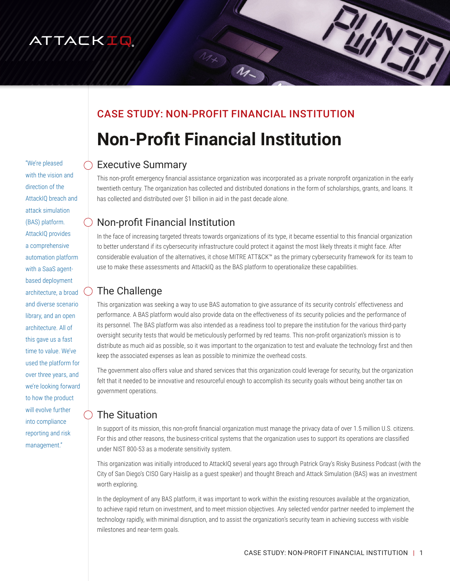# ATTACKIQ

## CASE STUDY: NON-PROFIT FINANCIAL INSTITUTION

Mx M

# **Non-Profit Financial Institution**

#### Executive Summary

This non-profit emergency financial assistance organization was incorporated as a private nonprofit organization in the early twentieth century. The organization has collected and distributed donations in the form of scholarships, grants, and loans. It has collected and distributed over \$1 billion in aid in the past decade alone.

## Non-profit Financial Institution

In the face of increasing targeted threats towards organizations of its type, it became essential to this financial organization to better understand if its cybersecurity infrastructure could protect it against the most likely threats it might face. After considerable evaluation of the alternatives, it chose MITRE ATT&CK™ as the primary cybersecurity framework for its team to use to make these assessments and AttackIQ as the BAS platform to operationalize these capabilities.

### The Challenge

This organization was seeking a way to use BAS automation to give assurance of its security controls' effectiveness and performance. A BAS platform would also provide data on the effectiveness of its security policies and the performance of its personnel. The BAS platform was also intended as a readiness tool to prepare the institution for the various third-party oversight security tests that would be meticulously performed by red teams. This non-profit organization's mission is to distribute as much aid as possible, so it was important to the organization to test and evaluate the technology first and then keep the associated expenses as lean as possible to minimize the overhead costs.

The government also offers value and shared services that this organization could leverage for security, but the organization felt that it needed to be innovative and resourceful enough to accomplish its security goals without being another tax on government operations.

## The Situation

In support of its mission, this non-profit financial organization must manage the privacy data of over 1.5 million U.S. citizens. For this and other reasons, the business-critical systems that the organization uses to support its operations are classified under NIST 800-53 as a moderate sensitivity system.

This organization was initially introduced to AttackIQ several years ago through Patrick Gray's Risky Business Podcast (with the City of San Diego's CISO Gary Haislip as a guest speaker) and thought Breach and Attack Simulation (BAS) was an investment worth exploring.

In the deployment of any BAS platform, it was important to work within the existing resources available at the organization, to achieve rapid return on investment, and to meet mission objectives. Any selected vendor partner needed to implement the technology rapidly, with minimal disruption, and to assist the organization's security team in achieving success with visible milestones and near-term goals.

"We're pleased with the vision and direction of the AttackIQ breach and attack simulation (BAS) platform. AttackIQ provides a comprehensive automation platform with a SaaS agentbased deployment architecture, a broad and diverse scenario library, and an open architecture. All of this gave us a fast time to value. We've used the platform for over three years, and we're looking forward to how the product will evolve further into compliance reporting and risk management."